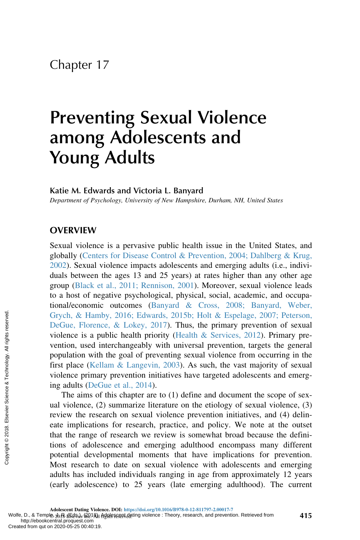# Chapter 17

# Preventing Sexual Violence among Adolescents and Young Adults

#### Katie M. Edwards and Victoria L. Banyard

Department of Psychology, University of New Hampshire, Durham, NH, United States

# **OVERVIEW**

Sexual violence is a pervasive public health issue in the United States, and globally (Centers for Disease Control & Prevention, 2004; Dahlberg & Krug, 2002). Sexual violence impacts adolescents and emerging adults (i.e., individuals between the ages 13 and 25 years) at rates higher than any other age group (Black et al., 2011; Rennison, 2001). Moreover, sexual violence leads to a host of negative psychological, physical, social, academic, and occupational/economic outcomes (Banyard & Cross, 2008; Banyard, Weber, Grych, & Hamby, 2016; Edwards, 2015b; Holt & Espelage, 2007; Peterson, DeGue, Florence, & Lokey, 2017). Thus, the primary prevention of sexual violence is a public health priority (Health & Services, 2012). Primary prevention, used interchangeably with universal prevention, targets the general population with the goal of preventing sexual violence from occurring in the first place (Kellam & Langevin, 2003). As such, the vast majority of sexual violence primary prevention initiatives have targeted adolescents and emerging adults (DeGue et al., 2014).

The aims of this chapter are to (1) define and document the scope of sexual violence, (2) summarize literature on the etiology of sexual violence, (3) review the research on sexual violence prevention initiatives, and (4) delineate implications for research, practice, and policy. We note at the outset that the range of research we review is somewhat broad because the definitions of adolescence and emerging adulthood encompass many different potential developmental moments that have implications for prevention. Most research to date on sexual violence with adolescents and emerging adults has included individuals ranging in age from approximately 12 years (early adolescence) to 25 years (late emerging adulthood). The current Crych, & Ham<br>
DeGue, Florence<br>
violence is a p<br>
vention, used in<br>
population with<br>
first place (Kel<br>
violence prima<br>
ing adults (DeC<br>
The aims of<br>
ual violence, (2<br>
review the reserved.<br>
eater implication<br>
that the range

Adolescent Dating Violence. DOI: <https://doi.org/10.1016/B978-0-12-811797-2.00017-7>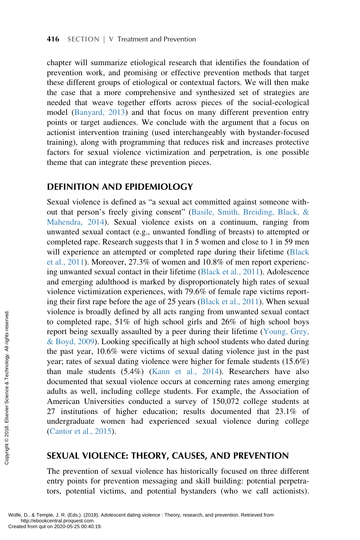chapter will summarize etiological research that identifies the foundation of prevention work, and promising or effective prevention methods that target these different groups of etiological or contextual factors. We will then make the case that a more comprehensive and synthesized set of strategies are needed that weave together efforts across pieces of the social-ecological model (Banyard, 2013) and that focus on many different prevention entry points or target audiences. We conclude with the argument that a focus on actionist intervention training (used interchangeably with bystander-focused training), along with programming that reduces risk and increases protective factors for sexual violence victimization and perpetration, is one possible theme that can integrate these prevention pieces.

### DEFINITION AND EPIDEMIOLOGY

Sexual violence is defined as "a sexual act committed against someone without that person's freely giving consent" (Basile, Smith, Breiding, Black, & Mahendra, 2014). Sexual violence exists on a continuum, ranging from unwanted sexual contact (e.g., unwanted fondling of breasts) to attempted or completed rape. Research suggests that 1 in 5 women and close to 1 in 59 men will experience an attempted or completed rape during their lifetime (Black et al., 2011). Moreover, 27.3% of women and 10.8% of men report experiencing unwanted sexual contact in their lifetime (Black et al., 2011). Adolescence and emerging adulthood is marked by disproportionately high rates of sexual violence victimization experiences, with 79.6% of female rape victims reporting their first rape before the age of 25 years (Black et al., 2011). When sexual violence is broadly defined by all acts ranging from unwanted sexual contact to completed rape, 51% of high school girls and 26% of high school boys report being sexually assaulted by a peer during their lifetime (Young, Grey, & Boyd, 2009). Looking specifically at high school students who dated during the past year, 10.6% were victims of sexual dating violence just in the past year; rates of sexual dating violence were higher for female students (15.6%) than male students (5.4%) (Kann et al., 2014). Researchers have also documented that sexual violence occurs at concerning rates among emerging adults as well, including college students. For example, the Association of American Universities conducted a survey of 150,072 college students at 27 institutions of higher education; results documented that 23.1% of undergraduate women had experienced sexual violence during college (Cantor et al., 2015). Violence is broad<br>to completed ra<br>teport being sex<br> $\&$  Boyd, 2009).<br>the past year; ates of sex<br>than male stud<br>documented that<br>documented that<br>adults as well, i<br>American Univer Science Science Science Science Science Scie

### SEXUAL VIOLENCE: THEORY, CAUSES, AND PREVENTION

The prevention of sexual violence has historically focused on three different entry points for prevention messaging and skill building: potential perpetrators, potential victims, and potential bystanders (who we call actionists).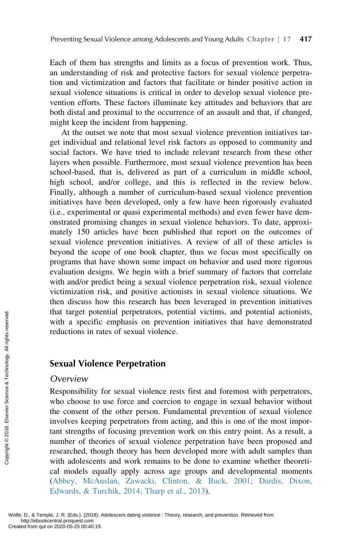Each of them has strengths and limits as a focus of prevention work. Thus, an understanding of risk and protective factors for sexual violence perpetration and victimization and factors that facilitate or hinder positive action in sexual violence situations is critical in order to develop sexual violence prevention efforts. These factors illuminate key attitudes and behaviors that are both distal and proximal to the occurrence of an assault and that, if changed, might keep the incident from happening.

At the outset we note that most sexual violence prevention initiatives target individual and relational level risk factors as opposed to community and social factors. We have tried to include relevant research from these other layers when possible. Furthermore, most sexual violence prevention has been school-based, that is, delivered as part of a curriculum in middle school, high school, and/or college, and this is reflected in the review below. Finally, although a number of curriculum-based sexual violence prevention initiatives have been developed, only a few have been rigorously evaluated (i.e., experimental or quasi experimental methods) and even fewer have demonstrated promising changes in sexual violence behaviors. To date, approximately 150 articles have been published that report on the outcomes of sexual violence prevention initiatives. A review of all of these articles is beyond the scope of one book chapter, thus we focus most specifically on programs that have shown some impact on behavior and used more rigorous evaluation designs. We begin with a brief summary of factors that correlate with and/or predict being a sexual violence perpetration risk, sexual violence victimization risk, and positive actionists in sexual violence situations. We then discuss how this research has been leveraged in prevention initiatives that target potential perpetrators, potential victims, and potential actionists, with a specific emphasis on prevention initiatives that have demonstrated reductions in rates of sexual violence.

# Sexual Violence Perpetration

# **Overview**

Responsibility for sexual violence rests first and foremost with perpetrators, who choose to use force and coercion to engage in sexual behavior without the consent of the other person. Fundamental prevention of sexual violence involves keeping perpetrators from acting, and this is one of the most important strengths of focusing prevention work on this entry point. As a result, a number of theories of sexual violence perpetration have been proposed and researched, though theory has been developed more with adult samples than with adolescents and work remains to be done to examine whether theoretical models equally apply across age groups and developmental moments (Abbey, McAuslan, Zawacki, Clinton, & Buck, 2001; Dardis, Dixon, Edwards, & Turchik, 2014; Tharp et al., 2013). Example of the Created from qut on 2020-05-25 00:40:19.<br>
Worke, D., & Temple, J. R. (Eds.). (2018).<br>
Created from qut on 2020-05-25 00:40:19.<br>
Created from qut on 2020-05-25 00:40:19.<br>
Created from qut on 2020-05-25 00:40: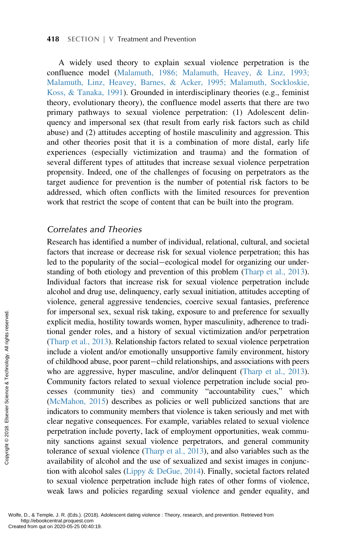A widely used theory to explain sexual violence perpetration is the confluence model (Malamuth, 1986; Malamuth, Heavey, & Linz, 1993; Malamuth, Linz, Heavey, Barnes, & Acker, 1995; Malamuth, Sockloskie, Koss, & Tanaka, 1991). Grounded in interdisciplinary theories (e.g., feminist theory, evolutionary theory), the confluence model asserts that there are two primary pathways to sexual violence perpetration: (1) Adolescent delinquency and impersonal sex (that result from early risk factors such as child abuse) and (2) attitudes accepting of hostile masculinity and aggression. This and other theories posit that it is a combination of more distal, early life experiences (especially victimization and trauma) and the formation of several different types of attitudes that increase sexual violence perpetration propensity. Indeed, one of the challenges of focusing on perpetrators as the target audience for prevention is the number of potential risk factors to be addressed, which often conflicts with the limited resources for prevention work that restrict the scope of content that can be built into the program.

#### Correlates and Theories

Research has identified a number of individual, relational, cultural, and societal factors that increase or decrease risk for sexual violence perpetration; this has led to the popularity of the social—ecological model for organizing our understanding of both etiology and prevention of this problem (Tharp et al., 2013). Individual factors that increase risk for sexual violence perpetration include alcohol and drug use, delinquency, early sexual initiation, attitudes accepting of violence, general aggressive tendencies, coercive sexual fantasies, preference for impersonal sex, sexual risk taking, exposure to and preference for sexually explicit media, hostility towards women, hyper masculinity, adherence to traditional gender roles, and a history of sexual victimization and/or perpetration (Tharp et al., 2013). Relationship factors related to sexual violence perpetration include a violent and/or emotionally unsupportive family environment, history of childhood abuse, poor parent-child relationships, and associations with peers who are aggressive, hyper masculine, and/or delinquent (Tharp et al., 2013). Community factors related to sexual violence perpetration include social processes (community ties) and community "accountability cues," which (McMahon, 2015) describes as policies or well publicized sanctions that are indicators to community members that violence is taken seriously and met with clear negative consequences. For example, variables related to sexual violence perpetration include poverty, lack of employment opportunities, weak community sanctions against sexual violence perpetrators, and general community tolerance of sexual violence (Tharp et al., 2013), and also variables such as the availability of alcohol and the use of sexualized and sexist images in conjunction with alcohol sales (Lippy & DeGue, 2014). Finally, societal factors related to sexual violence perpetration include high rates of other forms of violence, weak laws and policies regarding sexual violence and gender equality, and From the state of childhood abused from the control of childhood abused of childhood abused of childhood abused of childhood abused on the all rights control (McMahon, 2011) indicators to complete the science of sexual vi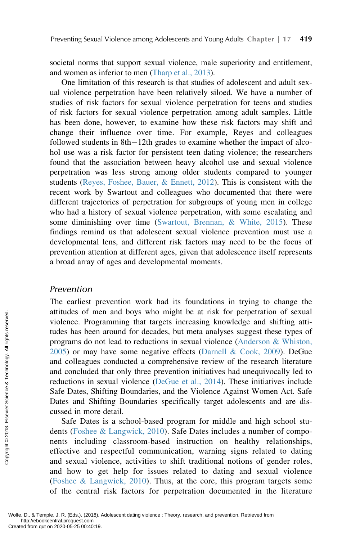societal norms that support sexual violence, male superiority and entitlement, and women as inferior to men (Tharp et al., 2013).

One limitation of this research is that studies of adolescent and adult sexual violence perpetration have been relatively siloed. We have a number of studies of risk factors for sexual violence perpetration for teens and studies of risk factors for sexual violence perpetration among adult samples. Little has been done, however, to examine how these risk factors may shift and change their influence over time. For example, Reyes and colleagues followed students in  $8th-12th$  grades to examine whether the impact of alcohol use was a risk factor for persistent teen dating violence; the researchers found that the association between heavy alcohol use and sexual violence perpetration was less strong among older students compared to younger students (Reyes, Foshee, Bauer, & Ennett, 2012). This is consistent with the recent work by Swartout and colleagues who documented that there were different trajectories of perpetration for subgroups of young men in college who had a history of sexual violence perpetration, with some escalating and some diminishing over time (Swartout, Brennan, & White, 2015). These findings remind us that adolescent sexual violence prevention must use a developmental lens, and different risk factors may need to be the focus of prevention attention at different ages, given that adolescence itself represents a broad array of ages and developmental moments.

#### Prevention

The earliest prevention work had its foundations in trying to change the attitudes of men and boys who might be at risk for perpetration of sexual violence. Programming that targets increasing knowledge and shifting attitudes has been around for decades, but meta analyses suggest these types of programs do not lead to reductions in sexual violence (Anderson & Whiston, 2005) or may have some negative effects (Darnell & Cook, 2009). DeGue and colleagues conducted a comprehensive review of the research literature and concluded that only three prevention initiatives had unequivocally led to reductions in sexual violence (DeGue et al., 2014). These initiatives include Safe Dates, Shifting Boundaries, and the Violence Against Women Act. Safe Dates and Shifting Boundaries specifically target adolescents and are discussed in more detail. From the control of the central<br>
From the control of the central<br>
Second from the control of the central<br>
Second from the central<br>
Second from the central<br>
Second from the central<br>
Nolfe, D., & Temple, J. R. (Eds.). (2018

Safe Dates is a school-based program for middle and high school students (Foshee & Langwick, 2010). Safe Dates includes a number of components including classroom-based instruction on healthy relationships, effective and respectful communication, warning signs related to dating and sexual violence, activities to shift traditional notions of gender roles, and how to get help for issues related to dating and sexual violence (Foshee & Langwick, 2010). Thus, at the core, this program targets some of the central risk factors for perpetration documented in the literature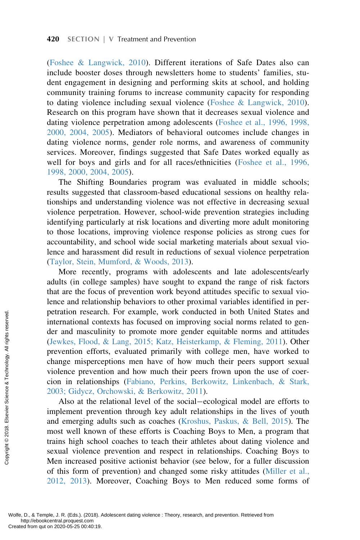(Foshee & Langwick, 2010). Different iterations of Safe Dates also can include booster doses through newsletters home to students' families, student engagement in designing and performing skits at school, and holding community training forums to increase community capacity for responding to dating violence including sexual violence (Foshee & Langwick, 2010). Research on this program have shown that it decreases sexual violence and dating violence perpetration among adolescents (Foshee et al., 1996, 1998, 2000, 2004, 2005). Mediators of behavioral outcomes include changes in dating violence norms, gender role norms, and awareness of community services. Moreover, findings suggested that Safe Dates worked equally as well for boys and girls and for all races/ethnicities (Foshee et al., 1996, 1998, 2000, 2004, 2005).

The Shifting Boundaries program was evaluated in middle schools; results suggested that classroom-based educational sessions on healthy relationships and understanding violence was not effective in decreasing sexual violence perpetration. However, school-wide prevention strategies including identifying particularly at risk locations and diverting more adult monitoring to those locations, improving violence response policies as strong cues for accountability, and school wide social marketing materials about sexual violence and harassment did result in reductions of sexual violence perpetration (Taylor, Stein, Mumford, & Woods, 2013).

More recently, programs with adolescents and late adolescents/early adults (in college samples) have sought to expand the range of risk factors that are the focus of prevention work beyond attitudes specific to sexual violence and relationship behaviors to other proximal variables identified in perpetration research. For example, work conducted in both United States and international contexts has focused on improving social norms related to gender and masculinity to promote more gender equitable norms and attitudes (Jewkes, Flood, & Lang, 2015; Katz, Heisterkamp, & Fleming, 2011). Other prevention efforts, evaluated primarily with college men, have worked to change misperceptions men have of how much their peers support sexual violence prevention and how much their peers frown upon the use of coercion in relationships (Fabiano, Perkins, Berkowitz, Linkenbach, & Stark, 2003; Gidycz, Orchowski, & Berkowitz, 2011).

Also at the relational level of the social-ecological model are efforts to implement prevention through key adult relationships in the lives of youth and emerging adults such as coaches (Kroshus, Paskus, & Bell, 2015). The most well known of these efforts is Coaching Boys to Men, a program that trains high school coaches to teach their athletes about dating violence and sexual violence prevention and respect in relationships. Coaching Boys to Men increased positive actionist behavior (see below, for a fuller discussion of this form of prevention) and changed some risky attitudes (Miller et al., 2012, 2013). Moreover, Coaching Boys to Men reduced some forms of Exerces international condensation<br>
der and masculi<br>
(Jewkes, Flood,<br>
prevention effor<br>
change misperce<br>
violence prevention<br>
cion in relation<br>
2003; Gidycz, C<br>
Also at the r<br>
implement prev<br>
and emerging a<br>
most well kno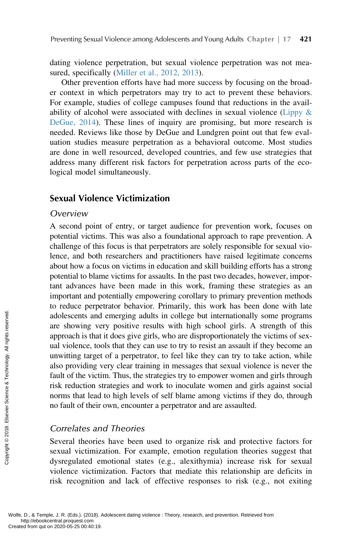dating violence perpetration, but sexual violence perpetration was not measured, specifically (Miller et al., 2012, 2013).

Other prevention efforts have had more success by focusing on the broader context in which perpetrators may try to act to prevent these behaviors. For example, studies of college campuses found that reductions in the availability of alcohol were associated with declines in sexual violence (Lippy & DeGue, 2014). These lines of inquiry are promising, but more research is needed. Reviews like those by DeGue and Lundgren point out that few evaluation studies measure perpetration as a behavioral outcome. Most studies are done in well resourced, developed countries, and few use strategies that address many different risk factors for perpetration across parts of the ecological model simultaneously.

# Sexual Violence Victimization

#### **Overview**

A second point of entry, or target audience for prevention work, focuses on potential victims. This was also a foundational approach to rape prevention. A challenge of this focus is that perpetrators are solely responsible for sexual violence, and both researchers and practitioners have raised legitimate concerns about how a focus on victims in education and skill building efforts has a strong potential to blame victims for assaults. In the past two decades, however, important advances have been made in this work, framing these strategies as an important and potentially empowering corollary to primary prevention methods to reduce perpetrator behavior. Primarily, this work has been done with late adolescents and emerging adults in college but internationally some programs are showing very positive results with high school girls. A strength of this approach is that it does give girls, who are disproportionately the victims of sexual violence, tools that they can use to try to resist an assault if they become an unwitting target of a perpetrator, to feel like they can try to take action, while also providing very clear training in messages that sexual violence is never the fault of the victim. Thus, the strategies try to empower women and girls through risk reduction strategies and work to inoculate women and girls against social norms that lead to high levels of self blame among victims if they do, through no fault of their own, encounter a perpetrator and are assaulted. From a 2020-05-25 00:40:19.<br>
From a 2020-05-25 00:40:10<br>
Worke, D., & Temple, J. R. (Eds.). (2018).<br>
Created from qut on 2020-05-25 00:40:19.<br>
Created from qut on 2020-05-25 00:40:19.<br>
Created from qut on 2020-05-25 00:40

# Correlates and Theories

Several theories have been used to organize risk and protective factors for sexual victimization. For example, emotion regulation theories suggest that dysregulated emotional states (e.g., alexithymia) increase risk for sexual violence victimization. Factors that mediate this relationship are deficits in risk recognition and lack of effective responses to risk (e.g., not exiting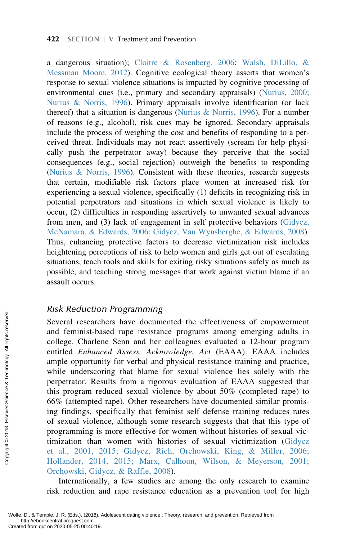a dangerous situation); Cloitre & Rosenberg, 2006; Walsh, DiLillo, & Messman Moore, 2012). Cognitive ecological theory asserts that women's response to sexual violence situations is impacted by cognitive processing of environmental cues (i.e., primary and secondary appraisals) (Nurius, 2000; Nurius & Norris, 1996). Primary appraisals involve identification (or lack thereof) that a situation is dangerous (Nurius  $&$  Norris, 1996). For a number of reasons (e.g., alcohol), risk cues may be ignored. Secondary appraisals include the process of weighing the cost and benefits of responding to a perceived threat. Individuals may not react assertively (scream for help physically push the perpetrator away) because they perceive that the social consequences (e.g., social rejection) outweigh the benefits to responding (Nurius & Norris, 1996). Consistent with these theories, research suggests that certain, modifiable risk factors place women at increased risk for experiencing a sexual violence, specifically (1) deficits in recognizing risk in potential perpetrators and situations in which sexual violence is likely to occur, (2) difficulties in responding assertively to unwanted sexual advances from men, and (3) lack of engagement in self protective behaviors (Gidycz, McNamara, & Edwards, 2006; Gidycz, Van Wynsberghe, & Edwards, 2008). Thus, enhancing protective factors to decrease victimization risk includes heightening perceptions of risk to help women and girls get out of escalating situations, teach tools and skills for exiting risky situations safely as much as possible, and teaching strong messages that work against victim blame if an assault occurs.

## Risk Reduction Programming

Several researchers have documented the effectiveness of empowerment and feminist-based rape resistance programs among emerging adults in college. Charlene Senn and her colleagues evaluated a 12-hour program entitled Enhanced Assess, Acknowledge, Act (EAAA). EAAA includes ample opportunity for verbal and physical resistance training and practice, while underscoring that blame for sexual violence lies solely with the perpetrator. Results from a rigorous evaluation of EAAA suggested that this program reduced sexual violence by about 50% (completed rape) to 66% (attempted rape). Other researchers have documented similar promising findings, specifically that feminist self defense training reduces rates of sexual violence, although some research suggests that that this type of programming is more effective for women without histories of sexual victimization than women with histories of sexual victimization (Gidycz et al., 2001, 2015; Gidycz, Rich, Orchowski, King, & Miller, 2006; Hollander, 2014, 2015; Marx, Calhoun, Wilson, & Meyerson, 2001; Orchowski, Gidycz, & Raffle, 2008). Exercise Several research<br>
Several research<br>
college. Charles<br>
entitled *Enhanc*<br>
ample opportun<br>
while underscon-<br>
perpetrator. Res<br>
this program re<br>
66% (attempted<br>
ing findings, sp<br>
programming is<br>
timization than<br>
et

Internationally, a few studies are among the only research to examine risk reduction and rape resistance education as a prevention tool for high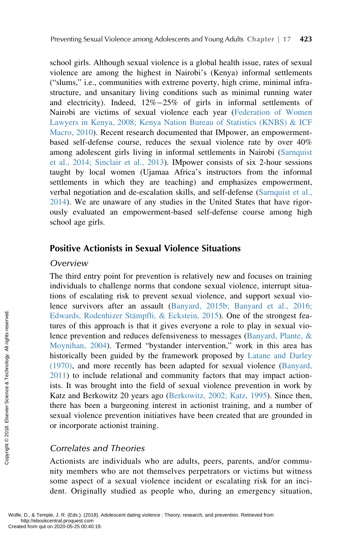school girls. Although sexual violence is a global health issue, rates of sexual violence are among the highest in Nairobi's (Kenya) informal settlements ("slums," i.e., communities with extreme poverty, high crime, minimal infrastructure, and unsanitary living conditions such as minimal running water and electricity). Indeed,  $12\% - 25\%$  of girls in informal settlements of Nairobi are victims of sexual violence each year (Federation of Women Lawyers in Kenya, 2008; Kenya Nation Bureau of Statistics (KNBS) & ICF Macro, 2010). Recent research documented that IMpower, an empowermentbased self-defense course, reduces the sexual violence rate by over 40% among adolescent girls living in informal settlements in Nairobi (Sarnquist et al., 2014; Sinclair et al., 2013). IMpower consists of six 2-hour sessions taught by local women (Ujamaa Africa's instructors from the informal settlements in which they are teaching) and emphasizes empowerment, verbal negotiation and de-escalation skills, and self-defense (Sarnquist et al., 2014). We are unaware of any studies in the United States that have rigorously evaluated an empowerment-based self-defense course among high school age girls.

# Positive Actionists in Sexual Violence Situations

### **Overview**

The third entry point for prevention is relatively new and focuses on training individuals to challenge norms that condone sexual violence, interrupt situations of escalating risk to prevent sexual violence, and support sexual violence survivors after an assault (Banyard, 2015b; Banyard et al., 2016; Edwards, Rodenhizer Stämpfli, & Eckstein, 2015). One of the strongest features of this approach is that it gives everyone a role to play in sexual violence prevention and reduces defensiveness to messages (Banyard, Plante, & Moynihan, 2004). Termed "bystander intervention," work in this area has historically been guided by the framework proposed by Latane and Darley (1970), and more recently has been adapted for sexual violence (Banyard, 2011) to include relational and community factors that may impact actionists. It was brought into the field of sexual violence prevention in work by Katz and Berkowitz 20 years ago (Berkowitz, 2002; Katz, 1995). Since then, there has been a burgeoning interest in actionist training, and a number of sexual violence prevention initiatives have been created that are grounded in or incorporate actionist training. Edwards, Rode<br>tures of this ap<br>lence preventio<br>lence preventio<br>Moynihan, 200<br>historically bee<br>(1970), and mo<br>2011) to include<br>ists. It was bro<br>ists. It was bro<br>katz and Berk<br>there has been<br>served there has been<br>served in

### Correlates and Theories

Actionists are individuals who are adults, peers, parents, and/or community members who are not themselves perpetrators or victims but witness some aspect of a sexual violence incident or escalating risk for an incident. Originally studied as people who, during an emergency situation,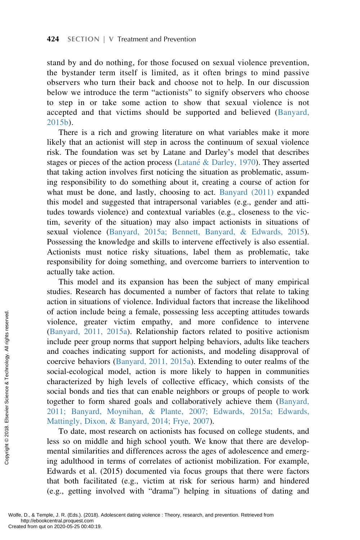stand by and do nothing, for those focused on sexual violence prevention, the bystander term itself is limited, as it often brings to mind passive observers who turn their back and choose not to help. In our discussion below we introduce the term "actionists" to signify observers who choose to step in or take some action to show that sexual violence is not accepted and that victims should be supported and believed (Banyard, 2015b).

There is a rich and growing literature on what variables make it more likely that an actionist will step in across the continuum of sexual violence risk. The foundation was set by Latane and Darley's model that describes stages or pieces of the action process (Latané & Darley, 1970). They asserted that taking action involves first noticing the situation as problematic, assuming responsibility to do something about it, creating a course of action for what must be done, and lastly, choosing to act. Banyard (2011) expanded this model and suggested that intrapersonal variables (e.g., gender and attitudes towards violence) and contextual variables (e.g., closeness to the victim, severity of the situation) may also impact actionists in situations of sexual violence (Banyard, 2015a; Bennett, Banyard, & Edwards, 2015). Possessing the knowledge and skills to intervene effectively is also essential. Actionists must notice risky situations, label them as problematic, take responsibility for doing something, and overcome barriers to intervention to actually take action.

This model and its expansion has been the subject of many empirical studies. Research has documented a number of factors that relate to taking action in situations of violence. Individual factors that increase the likelihood of action include being a female, possessing less accepting attitudes towards violence, greater victim empathy, and more confidence to intervene (Banyard, 2011, 2015a). Relationship factors related to positive actionism include peer group norms that support helping behaviors, adults like teachers and coaches indicating support for actionists, and modeling disapproval of coercive behaviors (Banyard, 2011, 2015a). Extending to outer realms of the social-ecological model, action is more likely to happen in communities characterized by high levels of collective efficacy, which consists of the social bonds and ties that can enable neighbors or groups of people to work together to form shared goals and collaboratively achieve them (Banyard, 2011; Banyard, Moynihan, & Plante, 2007; Edwards, 2015a; Edwards, Mattingly, Dixon, & Banyard, 2014; Frye, 2007). From a created from a coaches in the served from a coaches in the served from a coaches in the served from a contribution of the served from a contribution of the served from a created from a created from a created from a

To date, most research on actionists has focused on college students, and less so on middle and high school youth. We know that there are developmental similarities and differences across the ages of adolescence and emerging adulthood in terms of correlates of actionist mobilization. For example, Edwards et al. (2015) documented via focus groups that there were factors that both facilitated (e.g., victim at risk for serious harm) and hindered (e.g., getting involved with "drama") helping in situations of dating and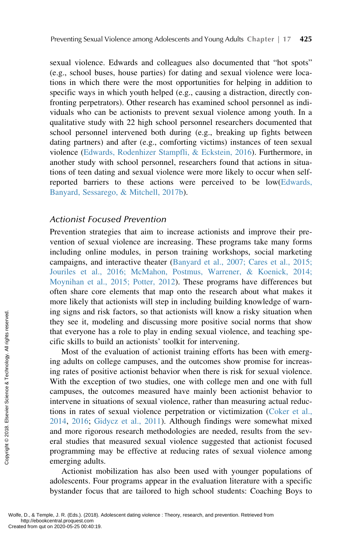sexual violence. Edwards and colleagues also documented that "hot spots" (e.g., school buses, house parties) for dating and sexual violence were locations in which there were the most opportunities for helping in addition to specific ways in which youth helped (e.g., causing a distraction, directly confronting perpetrators). Other research has examined school personnel as individuals who can be actionists to prevent sexual violence among youth. In a qualitative study with 22 high school personnel researchers documented that school personnel intervened both during (e.g., breaking up fights between dating partners) and after (e.g., comforting victims) instances of teen sexual violence (Edwards, Rodenhizer Stampfli, & Eckstein, 2016). Furthermore, in another study with school personnel, researchers found that actions in situations of teen dating and sexual violence were more likely to occur when selfreported barriers to these actions were perceived to be low(Edwards, Banyard, Sessarego, & Mitchell, 2017b).

## Actionist Focused Prevention

Prevention strategies that aim to increase actionists and improve their prevention of sexual violence are increasing. These programs take many forms including online modules, in person training workshops, social marketing campaigns, and interactive theater (Banyard et al., 2007; Cares et al., 2015; Jouriles et al., 2016; McMahon, Postmus, Warrener, & Koenick, 2014; Moynihan et al., 2015; Potter, 2012). These programs have differences but often share core elements that map onto the research about what makes it more likely that actionists will step in including building knowledge of warning signs and risk factors, so that actionists will know a risky situation when they see it, modeling and discussing more positive social norms that show that everyone has a role to play in ending sexual violence, and teaching specific skills to build an actionists' toolkit for intervening.

Most of the evaluation of actionist training efforts has been with emerging adults on college campuses, and the outcomes show promise for increasing rates of positive actionist behavior when there is risk for sexual violence. With the exception of two studies, one with college men and one with full campuses, the outcomes measured have mainly been actionist behavior to intervene in situations of sexual violence, rather than measuring actual reductions in rates of sexual violence perpetration or victimization (Coker et al., 2014, 2016; Gidycz et al., 2011). Although findings were somewhat mixed and more rigorous research methodologies are needed, results from the several studies that measured sexual violence suggested that actionist focused programming may be effective at reducing rates of sexual violence among emerging adults. The second from the second in the second in the second in the second in the second in the second of the ing adults on complises, the intervene in situally second with the except campuses, the intervene in situally the sec

Actionist mobilization has also been used with younger populations of adolescents. Four programs appear in the evaluation literature with a specific bystander focus that are tailored to high school students: Coaching Boys to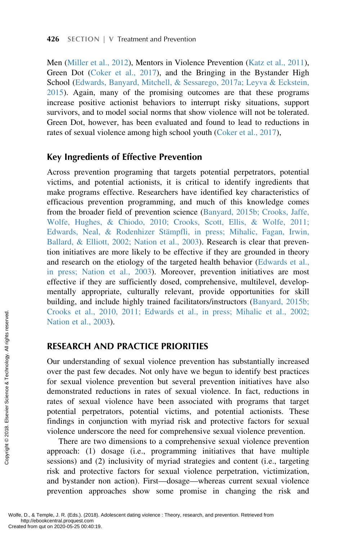Men (Miller et al., 2012), Mentors in Violence Prevention (Katz et al., 2011), Green Dot (Coker et al., 2017), and the Bringing in the Bystander High School (Edwards, Banyard, Mitchell, & Sessarego, 2017a; Leyva & Eckstein, 2015). Again, many of the promising outcomes are that these programs increase positive actionist behaviors to interrupt risky situations, support survivors, and to model social norms that show violence will not be tolerated. Green Dot, however, has been evaluated and found to lead to reductions in rates of sexual violence among high school youth (Coker et al., 2017),

# Key Ingredients of Effective Prevention

Across prevention programing that targets potential perpetrators, potential victims, and potential actionists, it is critical to identify ingredients that make programs effective. Researchers have identified key characteristics of efficacious prevention programming, and much of this knowledge comes from the broader field of prevention science (Banyard, 2015b; Crooks, Jaffe, Wolfe, Hughes, & Chiodo, 2010; Crooks, Scott, Ellis, & Wolfe, 2011; Edwards, Neal, & Rodenhizer Stämpfli, in press; Mihalic, Fagan, Irwin, Ballard, & Elliott, 2002; Nation et al., 2003). Research is clear that prevention initiatives are more likely to be effective if they are grounded in theory and research on the etiology of the targeted health behavior (Edwards et al., in press; Nation et al., 2003). Moreover, prevention initiatives are most effective if they are sufficiently dosed, comprehensive, multilevel, developmentally appropriate, culturally relevant, provide opportunities for skill building, and include highly trained facilitators/instructors (Banyard, 2015b; Crooks et al., 2010, 2011; Edwards et al., in press; Mihalic et al., 2002; Nation et al., 2003).

# RESEARCH AND PRACTICE PRIORITIES

Our understanding of sexual violence prevention has substantially increased over the past few decades. Not only have we begun to identify best practices for sexual violence prevention but several prevention initiatives have also demonstrated reductions in rates of sexual violence. In fact, reductions in rates of sexual violence have been associated with programs that target potential perpetrators, potential victims, and potential actionists. These findings in conjunction with myriad risk and protective factors for sexual violence underscore the need for comprehensive sexual violence prevention. Example From a 2020-05-25 00:40:19.<br>
Worke, D., & Temple, J. R. (Eds.). (2018).<br>
Created from gut on 2020-05-25 00:40:19.<br>
Created from gut on 2020-05-25 00:40:19.<br>
Created from gut on 2020-05-25 00:40:19.<br>
Created from g

There are two dimensions to a comprehensive sexual violence prevention approach: (1) dosage (i.e., programming initiatives that have multiple sessions) and (2) inclusivity of myriad strategies and content (i.e., targeting risk and protective factors for sexual violence perpetration, victimization, and bystander non action). First—dosage—whereas current sexual violence prevention approaches show some promise in changing the risk and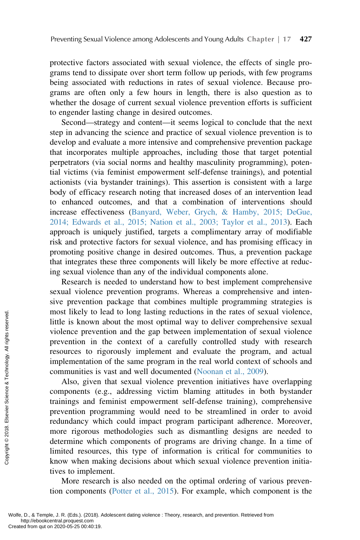protective factors associated with sexual violence, the effects of single programs tend to dissipate over short term follow up periods, with few programs being associated with reductions in rates of sexual violence. Because programs are often only a few hours in length, there is also question as to whether the dosage of current sexual violence prevention efforts is sufficient to engender lasting change in desired outcomes.

Second—strategy and content—it seems logical to conclude that the next step in advancing the science and practice of sexual violence prevention is to develop and evaluate a more intensive and comprehensive prevention package that incorporates multiple approaches, including those that target potential perpetrators (via social norms and healthy masculinity programming), potential victims (via feminist empowerment self-defense trainings), and potential actionists (via bystander trainings). This assertion is consistent with a large body of efficacy research noting that increased doses of an intervention lead to enhanced outcomes, and that a combination of interventions should increase effectiveness (Banyard, Weber, Grych, & Hamby, 2015; DeGue, 2014; Edwards et al., 2015; Nation et al., 2003; Taylor et al., 2013). Each approach is uniquely justified, targets a complimentary array of modifiable risk and protective factors for sexual violence, and has promising efficacy in promoting positive change in desired outcomes. Thus, a prevention package that integrates these three components will likely be more effective at reducing sexual violence than any of the individual components alone.

Research is needed to understand how to best implement comprehensive sexual violence prevention programs. Whereas a comprehensive and intensive prevention package that combines multiple programming strategies is most likely to lead to long lasting reductions in the rates of sexual violence, little is known about the most optimal way to deliver comprehensive sexual violence prevention and the gap between implementation of sexual violence prevention in the context of a carefully controlled study with research resources to rigorously implement and evaluate the program, and actual implementation of the same program in the real world context of schools and communities is vast and well documented (Noonan et al., 2009).

Also, given that sexual violence prevention initiatives have overlapping components (e.g., addressing victim blaming attitudes in both bystander trainings and feminist empowerment self-defense training), comprehensive prevention programming would need to be streamlined in order to avoid redundancy which could impact program participant adherence. Moreover, more rigorous methodologies such as dismantling designs are needed to determine which components of programs are driving change. In a time of limited resources, this type of information is critical for communities to know when making decisions about which sexual violence prevention initiatives to implement. From the process of the control of the control of the control of the control of the control of the components (e<br>
From the components (e<br>
trainings and f<br>
From components (e<br>
trainings and f<br>
se se se se components (e<br>
tra

More research is also needed on the optimal ordering of various prevention components (Potter et al., 2015). For example, which component is the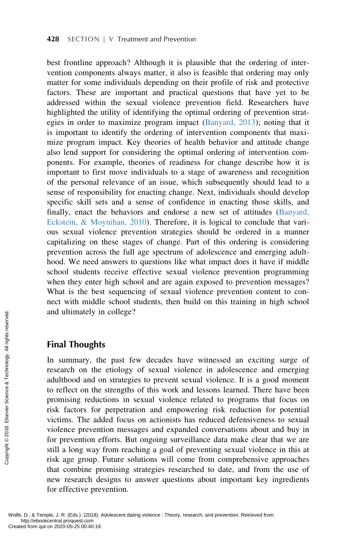best frontline approach? Although it is plausible that the ordering of intervention components always matter, it also is feasible that ordering may only matter for some individuals depending on their profile of risk and protective factors. These are important and practical questions that have yet to be addressed within the sexual violence prevention field. Researchers have highlighted the utility of identifying the optimal ordering of prevention strategies in order to maximize program impact (Banyard, 2013); noting that it is important to identify the ordering of intervention components that maximize program impact. Key theories of health behavior and attitude change also lend support for considering the optimal ordering of intervention components. For example, theories of readiness for change describe how it is important to first move individuals to a stage of awareness and recognition of the personal relevance of an issue, which subsequently should lead to a sense of responsibility for enacting change. Next, individuals should develop specific skill sets and a sense of confidence in enacting those skills, and finally, enact the behaviors and endorse a new set of attitudes (Banyard, Eckstein, & Moynihan, 2010). Therefore, it is logical to conclude that various sexual violence prevention strategies should be ordered in a manner capitalizing on these stages of change. Part of this ordering is considering prevention across the full age spectrum of adolescence and emerging adulthood. We need answers to questions like what impact does it have if middle school students receive effective sexual violence prevention programming when they enter high school and are again exposed to prevention messages? What is the best sequencing of sexual violence prevention content to connect with middle school students, then build on this training in high school and ultimately in college?

## Final Thoughts

In summary, the past few decades have witnessed an exciting surge of research on the etiology of sexual violence in adolescence and emerging adulthood and on strategies to prevent sexual violence. It is a good moment to reflect on the strengths of this work and lessons learned. There have been promising reductions in sexual violence related to programs that focus on risk factors for perpetration and empowering risk reduction for potential victims. The added focus on actionists has reduced defensiveness to sexual violence prevention messages and expanded conversations about and buy in for prevention efforts. But ongoing surveillance data make clear that we are still a long way from reaching a goal of preventing sexual violence in this at risk age group. Future solutions will come from comprehensive approaches that combine promising strategies researched to date, and from the use of new research designs to answer questions about important key ingredients for effective prevention. Example the model of the created from qut on 2020-05-25 00:40:19.<br>
Created from qut on 2020-05-25 00:40:19.<br>
Created from qut on 2020-05-25 00:40:19.<br>
Created from qut on 2020-05-25 00:40:19.<br>
Created from qut on 2020-05-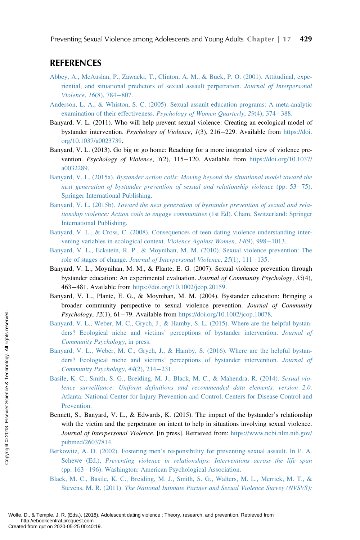# **REFERENCES**

- [Abbey, A., McAuslan, P., Zawacki, T., Clinton, A. M., & Buck, P. O. \(2001\). Attitudinal, expe](http://refhub.elsevier.com/B978-0-12-811797-2.00017-7/sbref1)[riential, and situational predictors of sexual assault perpetration.](http://refhub.elsevier.com/B978-0-12-811797-2.00017-7/sbref1) Journal of Interpersonal [Violence](http://refhub.elsevier.com/B978-0-12-811797-2.00017-7/sbref1), 16(8), 784-[807.](http://refhub.elsevier.com/B978-0-12-811797-2.00017-7/sbref1)
- [Anderson, L. A., & Whiston, S. C. \(2005\). Sexual assault education programs: A meta-analytic](http://refhub.elsevier.com/B978-0-12-811797-2.00017-7/sbref2) [examination of their effectiveness.](http://refhub.elsevier.com/B978-0-12-811797-2.00017-7/sbref2) *Psychology of Women Quarterly*, 29(4), 374–[388.](http://refhub.elsevier.com/B978-0-12-811797-2.00017-7/sbref2)
- Banyard, V. L. (2011). Who will help prevent sexual violence: Creating an ecological model of bystander intervention. Psychology of Violence, 1(3), 216–229. Available from [https://doi.](https://doi.org/10.1037/a0023739) [org/10.1037/a0023739.](https://doi.org/10.1037/a0023739)
- Banyard, V. L. (2013). Go big or go home: Reaching for a more integrated view of violence prevention. Psychology of Violence,  $3(2)$ ,  $115-120$ . Available from [https://doi.org/10.1037/](https://doi.org/10.1037/a0032289) [a0032289](https://doi.org/10.1037/a0032289).
- Banyard, V. L. (2015a). [Bystander action coils: Moving beyond the situational model toward the](http://refhub.elsevier.com/B978-0-12-811797-2.00017-7/sbref5) [next generation of bystander prevention of sexual and relationship violence](http://refhub.elsevier.com/B978-0-12-811797-2.00017-7/sbref5) (pp. 53-[75\).](http://refhub.elsevier.com/B978-0-12-811797-2.00017-7/sbref5) [Springer International Publishing.](http://refhub.elsevier.com/B978-0-12-811797-2.00017-7/sbref5)
- Banyard, V. L. (2015b). [Toward the next generation of bystander prevention of sexual and rela](http://refhub.elsevier.com/B978-0-12-811797-2.00017-7/sbref6)[tionship violence: Action coils to engage communities](http://refhub.elsevier.com/B978-0-12-811797-2.00017-7/sbref6) (1st Ed). Cham, Switzerland: Springer [International Publishing.](http://refhub.elsevier.com/B978-0-12-811797-2.00017-7/sbref6)
- [Banyard, V. L., & Cross, C. \(2008\). Consequences of teen dating violence understanding inter](http://refhub.elsevier.com/B978-0-12-811797-2.00017-7/sbref7)[vening variables in ecological context.](http://refhub.elsevier.com/B978-0-12-811797-2.00017-7/sbref7) *Violence Against Women*, 14(9), 998–[1013.](http://refhub.elsevier.com/B978-0-12-811797-2.00017-7/sbref7)
- [Banyard, V. L., Eckstein, R. P., & Moynihan, M. M. \(2010\). Sexual violence prevention: The](http://refhub.elsevier.com/B978-0-12-811797-2.00017-7/sbref8) role of stages of change. [Journal of Interpersonal Violence](http://refhub.elsevier.com/B978-0-12-811797-2.00017-7/sbref8),  $25(1)$ ,  $111-135$ .
- Banyard, V. L., Moynihan, M. M., & Plante, E. G. (2007). Sexual violence prevention through bystander education: An experimental evaluation. Journal of Community Psychology, 35(4), 463-481. Available from <https://doi.org/10.1002/jcop.20159>.
- Banyard, V. L., Plante, E. G., & Moynihan, M. M. (2004). Bystander education: Bringing a broader community perspective to sexual violence prevention. Journal of Community Psychology, 32(1), 61-79. Available from <https://doi.org/10.1002/jcop.10078>.
- [Banyard, V. L., Weber, M. C., Grych, J., & Hamby, S. L. \(2015\). Where are the helpful bystan](http://refhub.elsevier.com/B978-0-12-811797-2.00017-7/sbref11)[ders? Ecological niche and victims' perceptions of bystander intervention.](http://refhub.elsevier.com/B978-0-12-811797-2.00017-7/sbref11) Journal of [Community Psychology](http://refhub.elsevier.com/B978-0-12-811797-2.00017-7/sbref11), in press.
- [Banyard, V. L., Weber, M. C., Grych, J., & Hamby, S. \(2016\). Where are the helpful bystan](http://refhub.elsevier.com/B978-0-12-811797-2.00017-7/sbref12)[ders? Ecological niche and victims' perceptions of bystander intervention.](http://refhub.elsevier.com/B978-0-12-811797-2.00017-7/sbref12) Journal of [Community Psychology](http://refhub.elsevier.com/B978-0-12-811797-2.00017-7/sbref12),  $44(2)$ ,  $214-231$ .
- [Basile, K. C., Smith, S. G., Breiding, M. J., Black, M. C., & Mahendra, R. \(2014\).](http://refhub.elsevier.com/B978-0-12-811797-2.00017-7/sbref13) Sexual vio[lence surveillance: Uniform definitions and recommended data elements, version 2.0](http://refhub.elsevier.com/B978-0-12-811797-2.00017-7/sbref13). [Atlanta: National Center for Injury Prevention and Control, Centers for Disease Control and](http://refhub.elsevier.com/B978-0-12-811797-2.00017-7/sbref13) [Prevention.](http://refhub.elsevier.com/B978-0-12-811797-2.00017-7/sbref13) Exercise Bayard, V. L., Weiners, 2020<br>
Engage Banyard, V. L., Weiners, 2020<br>
Community Psy<br>
Banyard, V. L., Weiners, 2020<br>
Community Psy<br>
Basile, K. C., Smit<br>
Lence surveilla<br>
Atlanta: Nation<br>
Prevention.<br>
Bennett, S., Ba
	- Bennett, S., Banyard, V. L., & Edwards, K. (2015). The impact of the bystander's relationship with the victim and the perpetrator on intent to help in situations involving sexual violence. Journal of Interpersonal Violence. [in press]. Retrieved from: [https://www.ncbi.nlm.nih.gov/](https://www.ncbi.nlm.nih.gov/pubmed/26037814) [pubmed/26037814](https://www.ncbi.nlm.nih.gov/pubmed/26037814).
	- [Berkowitz, A. D. \(2002\). Fostering men's responsibility for preventing sexual assault. In P. A.](http://refhub.elsevier.com/B978-0-12-811797-2.00017-7/sbref15) Schewe (Ed.), *[Preventing violence in relationships: Interventions across the life span](http://refhub.elsevier.com/B978-0-12-811797-2.00017-7/sbref15)* (pp.  $163-196$ ). Washington: American Psychological Association.
	- [Black, M. C., Basile, K. C., Breiding, M. J., Smith, S. G., Walters, M. L., Merrick, M. T., &](http://refhub.elsevier.com/B978-0-12-811797-2.00017-7/sbref16) Stevens, M. R. (2011). [The National Intimate Partner and Sexual Violence Survey \(NVSVS\):](http://refhub.elsevier.com/B978-0-12-811797-2.00017-7/sbref16)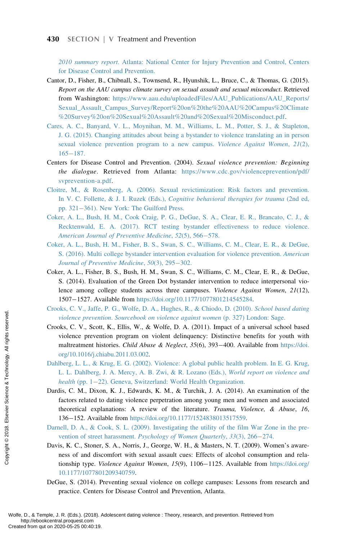2010 summary report[. Atlanta: National Center for Injury Prevention and Control, Centers](http://refhub.elsevier.com/B978-0-12-811797-2.00017-7/sbref16) [for Disease Control and Prevention.](http://refhub.elsevier.com/B978-0-12-811797-2.00017-7/sbref16)

- Cantor, D., Fisher, B., Chibnall, S., Townsend, R., Hyunshik, L., Bruce, C., & Thomas, G. (2015). Report on the AAU campus climate survey on sexual assault and sexual misconduct. Retrieved from Washington: [https://www.aau.edu/uploadedFiles/AAU\\_Publications/AAU\\_Reports/](https://www.aau.edu/uploadedFiles/AAU_Publications/AAU_Reports/Sexual_Assault_Campus_Survey/Report%20on%20the%20AAU%20Campus%20Climate%20Survey%20on%20Sexual%20Assault%20and%20Sexual%20Misconduct.pdf) [Sexual\\_Assault\\_Campus\\_Survey/Report%20on%20the%20AAU%20Campus%20Climate](https://www.aau.edu/uploadedFiles/AAU_Publications/AAU_Reports/Sexual_Assault_Campus_Survey/Report%20on%20the%20AAU%20Campus%20Climate%20Survey%20on%20Sexual%20Assault%20and%20Sexual%20Misconduct.pdf) [%20Survey%20on%20Sexual%20Assault%20and%20Sexual%20Misconduct.pdf.](https://www.aau.edu/uploadedFiles/AAU_Publications/AAU_Reports/Sexual_Assault_Campus_Survey/Report%20on%20the%20AAU%20Campus%20Climate%20Survey%20on%20Sexual%20Assault%20and%20Sexual%20Misconduct.pdf)
- [Cares, A. C., Banyard, V. L., Moynihan, M. M., Williams, L. M., Potter, S. J., & Stapleton,](http://refhub.elsevier.com/B978-0-12-811797-2.00017-7/sbref17) [J. G. \(2015\). Changing attitudes about being a bystander to violence translating an in person](http://refhub.elsevier.com/B978-0-12-811797-2.00017-7/sbref17) [sexual violence prevention program to a new campus.](http://refhub.elsevier.com/B978-0-12-811797-2.00017-7/sbref17) Violence Against Women, 21(2),  $165 - 187.$  $165 - 187.$  $165 - 187.$
- Centers for Disease Control and Prevention. (2004). Sexual violence prevention: Beginning the dialogue. Retrieved from Atlanta: [https://www.cdc.gov/violenceprevention/pdf/](https://www.cdc.gov/violenceprevention/pdf/svprevention-a.pdf) [svprevention-a.pdf.](https://www.cdc.gov/violenceprevention/pdf/svprevention-a.pdf)
- [Cloitre, M., & Rosenberg, A. \(2006\). Sexual revictimization: Risk factors and prevention.](http://refhub.elsevier.com/B978-0-12-811797-2.00017-7/sbref18) In V. C. Follette, & J. I. Ruzek (Eds.), [Cognitive behavioral therapies for trauma](http://refhub.elsevier.com/B978-0-12-811797-2.00017-7/sbref18) (2nd ed, [pp. 321](http://refhub.elsevier.com/B978-0-12-811797-2.00017-7/sbref18)-[361\). New York: The Guilford Press.](http://refhub.elsevier.com/B978-0-12-811797-2.00017-7/sbref18)
- [Coker, A. L., Bush, H. M., Cook Craig, P. G., DeGue, S. A., Clear, E. R., Brancato, C. J., &](http://refhub.elsevier.com/B978-0-12-811797-2.00017-7/sbref19) [Recktenwald, E. A. \(2017\). RCT testing bystander effectiveness to reduce violence.](http://refhub.elsevier.com/B978-0-12-811797-2.00017-7/sbref19) [American Journal of Preventive Medicine](http://refhub.elsevier.com/B978-0-12-811797-2.00017-7/sbref19), 52(5), 566-[578.](http://refhub.elsevier.com/B978-0-12-811797-2.00017-7/sbref19)
- [Coker, A. L., Bush, H. M., Fisher, B. S., Swan, S. C., Williams, C. M., Clear, E. R., & DeGue,](http://refhub.elsevier.com/B978-0-12-811797-2.00017-7/sbref20) [S. \(2016\). Multi college bystander intervention evaluation for violence prevention.](http://refhub.elsevier.com/B978-0-12-811797-2.00017-7/sbref20) American [Journal of Preventive Medicine](http://refhub.elsevier.com/B978-0-12-811797-2.00017-7/sbref20),  $50(3)$ ,  $295-302$ .
- Coker, A. L., Fisher, B. S., Bush, H. M., Swan, S. C., Williams, C. M., Clear, E. R., & DeGue, S. (2014). Evaluation of the Green Dot bystander intervention to reduce interpersonal violence among college students across three campuses. Violence Against Women, 21(12), 1507-1527. Available from [https://doi.org/10.1177/1077801214545284.](https://doi.org/10.1177/1077801214545284)
- [Crooks, C. V., Jaffe, P. G., Wolfe, D. A., Hughes, R., & Chiodo, D. \(2010\).](http://refhub.elsevier.com/B978-0-12-811797-2.00017-7/sbref22) School based dating violence prevention. [Sourcebook on violence against women](http://refhub.elsevier.com/B978-0-12-811797-2.00017-7/sbref22) (p. 327) London: Sage.
- Crooks, C. V., Scott, K., Ellis, W., & Wolfe, D. A. (2011). Impact of a universal school based violence prevention program on violent delinquency: Distinctive benefits for youth with maltreatment histories. Child Abuse & Neglect, 35(6), 393-400. Available from [https://doi.](https://doi.org/10.1016/j.chiabu.2011.03.002) [org/10.1016/j.chiabu.2011.03.002](https://doi.org/10.1016/j.chiabu.2011.03.002). From the created from and the created from a created from a created from qut on 2020-05-25 00:40:19.<br>
Wolfe, D., & Technology. Science and the created to the created to the created to the created of the created from exerc
	- [Dahlberg, L. L., & Krug, E. G. \(2002\). Violence: A global public health problem. In E. G. Krug,](http://refhub.elsevier.com/B978-0-12-811797-2.00017-7/sbref24) [L. L. Dahlberg, J. A. Mercy, A. B. Zwi, & R. Lozano \(Eds.\),](http://refhub.elsevier.com/B978-0-12-811797-2.00017-7/sbref24) World report on violence and [health](http://refhub.elsevier.com/B978-0-12-811797-2.00017-7/sbref24) (pp. 1-[22\). Geneva, Switzerland: World Health Organization.](http://refhub.elsevier.com/B978-0-12-811797-2.00017-7/sbref24)
	- Dardis, C. M., Dixon, K. J., Edwards, K. M., & Turchik, J. A. (2014). An examination of the factors related to dating violence perpetration among young men and women and associated theoretical explanations: A review of the literature. Trauma, Violence, & Abuse, 16, 136-152. Available from [https://doi.org/10.1177/1524838013517559.](https://doi.org/10.1177/1524838013517559)
	- [Darnell, D. A., & Cook, S. L. \(2009\). Investigating the utility of the film War Zone in the pre-](http://refhub.elsevier.com/B978-0-12-811797-2.00017-7/sbref26)vention of street harassment. [Psychology of Women Quarterly](http://refhub.elsevier.com/B978-0-12-811797-2.00017-7/sbref26), 33(3), 266–[274.](http://refhub.elsevier.com/B978-0-12-811797-2.00017-7/sbref26)
	- Davis, K. C., Stoner, S. A., Norris, J., George, W. H., & Masters, N. T. (2009). Women's awareness of and discomfort with sexual assault cues: Effects of alcohol consumption and relationship type. *Violence Against Women*,  $15(9)$ ,  $1106-1125$ . Available from [https://doi.org/](https://doi.org/10.1177/1077801209340759) [10.1177/1077801209340759.](https://doi.org/10.1177/1077801209340759)
	- DeGue, S. (2014). Preventing sexual violence on college campuses: Lessons from research and practice. Centers for Disease Control and Prevention, Atlanta.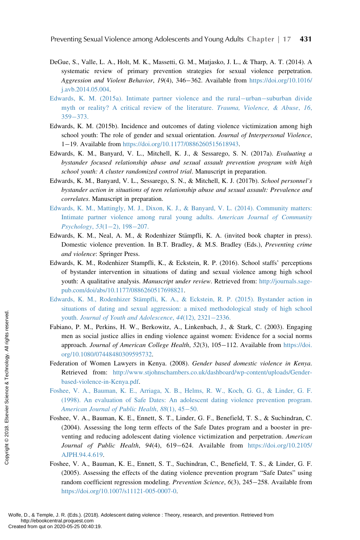- DeGue, S., Valle, L. A., Holt, M. K., Massetti, G. M., Matjasko, J. L., & Tharp, A. T. (2014). A systematic review of primary prevention strategies for sexual violence perpetration. Aggression and Violent Behavior, 19(4), 346-362. Available from [https://doi.org/10.1016/](https://doi.org/10.1016/j.avb.2014.05.004) [j.avb.2014.05.004](https://doi.org/10.1016/j.avb.2014.05.004).
- [Edwards, K. M. \(2015a\). Intimate partner violence and the rural](http://refhub.elsevier.com/B978-0-12-811797-2.00017-7/sbref30)-[urban](http://refhub.elsevier.com/B978-0-12-811797-2.00017-7/sbref30)-[suburban divide](http://refhub.elsevier.com/B978-0-12-811797-2.00017-7/sbref30) myth or reality? A critical review of the literature. [Trauma, Violence, & Abuse](http://refhub.elsevier.com/B978-0-12-811797-2.00017-7/sbref30), 16, [359](http://refhub.elsevier.com/B978-0-12-811797-2.00017-7/sbref30)-[373.](http://refhub.elsevier.com/B978-0-12-811797-2.00017-7/sbref30)
- Edwards, K. M. (2015b). Incidence and outcomes of dating violence victimization among high school youth: The role of gender and sexual orientation. Journal of Interpersonal Violence, 119. Available from <https://doi.org/10.1177/0886260515618943>.
- Edwards, K. M., Banyard, V. L., Mitchell, K. J., & Sessarego, S. N. (2017a). Evaluating a bystander focused relationship abuse and sexual assault prevention program with high school youth: A cluster randomized control trial. Manuscript in preparation.
- Edwards, K. M., Banyard, V. L., Sessarego, S. N., & Mitchell, K. J. (2017b). School personnel's bystander action in situations of teen relationship abuse and sexual assault: Prevalence and correlates. Manuscript in preparation.
- [Edwards, K. M., Mattingly, M. J., Dixon, K. J., & Banyard, V. L. \(2014\). Community matters:](http://refhub.elsevier.com/B978-0-12-811797-2.00017-7/sbref32) [Intimate partner violence among rural young adults.](http://refhub.elsevier.com/B978-0-12-811797-2.00017-7/sbref32) American Journal of Community  $Psychology, 53(1–2), 198–207.$  $Psychology, 53(1–2), 198–207.$  $Psychology, 53(1–2), 198–207.$  $Psychology, 53(1–2), 198–207.$  $Psychology, 53(1–2), 198–207.$
- Edwards, K. M., Neal, A. M., & Rodenhizer Stämpfli, K. A. (invited book chapter in press). Domestic violence prevention. In B.T. Bradley, & M.S. Bradley (Eds.), Preventing crime and violence: Springer Press.
- Edwards, K. M., Rodenhizer Stampfli, K., & Eckstein, R. P. (2016). School staffs' perceptions of bystander intervention in situations of dating and sexual violence among high school youth: A qualitative analysis. Manuscript under review. Retrieved from: [http://journals.sage](http://journals.sagepub.com/doi/abs/10.1177/0886260517698821)[pub.com/doi/abs/10.1177/0886260517698821](http://journals.sagepub.com/doi/abs/10.1177/0886260517698821).
- Edwards, K. M., Rodenhizer Stämpfli, K. A., & Eckstein, R. P. (2015). Bystander action in [situations of dating and sexual aggression: a mixed methodological study of high school](http://refhub.elsevier.com/B978-0-12-811797-2.00017-7/sbref33) youth. [Journal of Youth and Adolescence](http://refhub.elsevier.com/B978-0-12-811797-2.00017-7/sbref33), 44(12), 2321-[2336.](http://refhub.elsevier.com/B978-0-12-811797-2.00017-7/sbref33)
- Fabiano, P. M., Perkins, H. W., Berkowitz, A., Linkenbach, J., & Stark, C. (2003). Engaging men as social justice allies in ending violence against women: Evidence for a social norms approach. Journal of American College Health,  $52(3)$ ,  $105-112$ . Available from [https://doi.](https://doi.org/10.1080/07448480309595732) [org/10.1080/07448480309595732](https://doi.org/10.1080/07448480309595732).
- Federation of Women Lawyers in Kenya. (2008). Gender based domestic violence in Kenya. Retrieved from: [http://www.stjohnschambers.co.uk/dashboard/wp-content/uploads/Gender](http://www.stjohnschambers.co.uk/dashboard/wp-content/uploads/Gender-based-violence-in-Kenya.pdf)[based-violence-in-Kenya.pdf](http://www.stjohnschambers.co.uk/dashboard/wp-content/uploads/Gender-based-violence-in-Kenya.pdf).
- [Foshee, V. A., Bauman, K. E., Arriaga, X. B., Helms, R. W., Koch, G. G., & Linder, G. F.](http://refhub.elsevier.com/B978-0-12-811797-2.00017-7/sbref35) [\(1998\). An evaluation of Safe Dates: An adolescent dating violence prevention program.](http://refhub.elsevier.com/B978-0-12-811797-2.00017-7/sbref35) [American Journal of Public Health](http://refhub.elsevier.com/B978-0-12-811797-2.00017-7/sbref35), 88(1), 45-[50.](http://refhub.elsevier.com/B978-0-12-811797-2.00017-7/sbref35)
- Foshee, V. A., Bauman, K. E., Ennett, S. T., Linder, G. F., Benefield, T. S., & Suchindran, C. (2004). Assessing the long term effects of the Safe Dates program and a booster in preventing and reducing adolescent dating violence victimization and perpetration. American Journal of Public Health,  $94(4)$ ,  $619-624$ . Available from [https://doi.org/10.2105/](https://doi.org/10.2105/AJPH.94.4.619) [AJPH.94.4.619](https://doi.org/10.2105/AJPH.94.4.619). The men as social is a period on P. M., Permen as social is approach. *Journal*<br>
Fabiano, P. M., Permen as social is approach. *Journal*<br>
org/10.1080/07<br>
Federation of Won<br>
Retrieved from based-violence<br>
Foshee, V. A., Ba
	- Foshee, V. A., Bauman, K. E., Ennett, S. T., Suchindran, C., Benefield, T. S., & Linder, G. F. (2005). Assessing the effects of the dating violence prevention program "Safe Dates" using random coefficient regression modeling. Prevention Science,  $6(3)$ ,  $245-258$ . Available from [https://doi.org/10.1007/s11121-005-0007-0.](https://doi.org/10.1007/s11121-005-0007-0)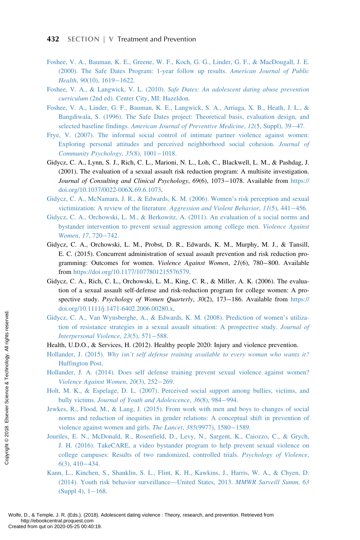- [Foshee, V. A., Bauman, K. E., Greene, W. F., Koch, G. G., Linder, G. F., & MacDougall, J. E.](http://refhub.elsevier.com/B978-0-12-811797-2.00017-7/sbref38) [\(2000\). The Safe Dates Program: 1-year follow up results.](http://refhub.elsevier.com/B978-0-12-811797-2.00017-7/sbref38) American Journal of Public Health,  $90(10)$ ,  $1619-1622$ .
- Foshee, V. A., & Langwick, V. L. (2010). [Safe Dates: An adolescent dating abuse prevention](http://refhub.elsevier.com/B978-0-12-811797-2.00017-7/sbref39) curriculum [\(2nd ed\). Center City, MI: Hazeldon.](http://refhub.elsevier.com/B978-0-12-811797-2.00017-7/sbref39)
- [Foshee, V. A., Linder, G. F., Bauman, K. E., Langwick, S. A., Arriaga, X. B., Heath, J. L., &](http://refhub.elsevier.com/B978-0-12-811797-2.00017-7/sbref40) [Bangdiwala, S. \(1996\). The Safe Dates project: Theoretical basis, evaluation design, and](http://refhub.elsevier.com/B978-0-12-811797-2.00017-7/sbref40) selected baseline findings. [American Journal of Preventive Medicine](http://refhub.elsevier.com/B978-0-12-811797-2.00017-7/sbref40), 12(5, Suppl), 39–[47.](http://refhub.elsevier.com/B978-0-12-811797-2.00017-7/sbref40)
- [Frye, V. \(2007\). The informal social control of intimate partner violence against women:](http://refhub.elsevier.com/B978-0-12-811797-2.00017-7/sbref41) [Exploring personal attitudes and perceived neighborhood social cohesion.](http://refhub.elsevier.com/B978-0-12-811797-2.00017-7/sbref41) Journal of [Community Psychology](http://refhub.elsevier.com/B978-0-12-811797-2.00017-7/sbref41),  $35(8)$ ,  $1001-1018$ .
- Gidycz, C. A., Lynn, S. J., Rich, C. L., Marioni, N. L., Loh, C., Blackwell, L. M., & Pashdag, J. (2001). The evaluation of a sexual assault risk reduction program: A multisite investigation. Journal of Consulting and Clinical Psychology,  $69(6)$ ,  $1073-1078$ . Available from [https://](https://doi.org/10.1037/0022-006X.69.6.1073) [doi.org/10.1037/0022-006X.69.6.1073](https://doi.org/10.1037/0022-006X.69.6.1073).
- [Gidycz, C. A., McNamara, J. R., & Edwards, K. M. \(2006\). Women's risk perception and sexual](http://refhub.elsevier.com/B978-0-12-811797-2.00017-7/sbref43) [victimization: A review of the literature.](http://refhub.elsevier.com/B978-0-12-811797-2.00017-7/sbref43) Aggression and Violent Behavior,  $11(5)$ ,  $441-456$ .
- [Gidycz, C. A., Orchowski, L. M., & Berkowitz, A. \(2011\). An evaluation of a social norms and](http://refhub.elsevier.com/B978-0-12-811797-2.00017-7/sbref44) [bystander intervention to prevent sexual aggression among college men.](http://refhub.elsevier.com/B978-0-12-811797-2.00017-7/sbref44) Violence Against [Women](http://refhub.elsevier.com/B978-0-12-811797-2.00017-7/sbref44), 17, 720-[742.](http://refhub.elsevier.com/B978-0-12-811797-2.00017-7/sbref44)
- Gidycz, C. A., Orchowski, L. M., Probst, D. R., Edwards, K. M., Murphy, M. J., & Tansill, E. C. (2015). Concurrent administration of sexual assault prevention and risk reduction programming: Outcomes for women. *Violence Against Women*,  $21(6)$ ,  $780-800$ . Available from [https://doi.org/10.1177/1077801215576579.](https://doi.org/10.1177/1077801215576579)
- Gidycz, C. A., Rich, C. L., Orchowski, L. M., King, C. R., & Miller, A. K. (2006). The evaluation of a sexual assault self-defense and risk-reduction program for college women: A prospective study. Psychology of Women Quarterly,  $30(2)$ , 173-186. Available from [https://](https://doi.org/10.1111/j.1471-6402.2006.00280.x) [doi.org/10.1111/j.1471-6402.2006.00280.x.](https://doi.org/10.1111/j.1471-6402.2006.00280.x)
- [Gidycz, C. A., Van Wynsberghe, A., & Edwards, K. M. \(2008\). Prediction of women's utiliza](http://refhub.elsevier.com/B978-0-12-811797-2.00017-7/sbref47)[tion of resistance strategies in a sexual assault situation: A prospective study.](http://refhub.elsevier.com/B978-0-12-811797-2.00017-7/sbref47) Journal of [Interpersonal Violence](http://refhub.elsevier.com/B978-0-12-811797-2.00017-7/sbref47),  $23(5)$ ,  $571-588$ .
- Health, U.D.O., & Services, H. (2012). Healthy people 2020: Injury and violence prevention.
- Hollander, J. (2015). [Why isn't self defense training available to every woman who wants it?](http://refhub.elsevier.com/B978-0-12-811797-2.00017-7/sbref48) [Huffington Post.](http://refhub.elsevier.com/B978-0-12-811797-2.00017-7/sbref48)
- [Hollander, J. A. \(2014\). Does self defense training prevent sexual violence against women?](http://refhub.elsevier.com/B978-0-12-811797-2.00017-7/sbref49) [Violence Against Women](http://refhub.elsevier.com/B978-0-12-811797-2.00017-7/sbref49),  $20(3)$ ,  $252-269$ .
- [Holt, M. K., & Espelage, D. L. \(2007\). Perceived social support among bullies, victims, and](http://refhub.elsevier.com/B978-0-12-811797-2.00017-7/sbref50) bully victims. [Journal of Youth and Adolescence](http://refhub.elsevier.com/B978-0-12-811797-2.00017-7/sbref50), 36(8), 984-[994.](http://refhub.elsevier.com/B978-0-12-811797-2.00017-7/sbref50)
- [Jewkes, R., Flood, M., & Lang, J. \(2015\). From work with men and boys to changes of social](http://refhub.elsevier.com/B978-0-12-811797-2.00017-7/sbref51) [norms and reduction of inequities in gender relations: A conceptual shift in prevention of](http://refhub.elsevier.com/B978-0-12-811797-2.00017-7/sbref51) [violence against women and girls.](http://refhub.elsevier.com/B978-0-12-811797-2.00017-7/sbref51) The Lancet, 385(9977), 1580-[1589.](http://refhub.elsevier.com/B978-0-12-811797-2.00017-7/sbref51)
- [Jouriles, E. N., McDonald, R., Rosenfield, D., Levy, N., Sargent, K., Caiozzo, C., & Grych,](http://refhub.elsevier.com/B978-0-12-811797-2.00017-7/sbref52) [J. H. \(2016\). TakeCARE, a video bystander program to help prevent sexual violence on](http://refhub.elsevier.com/B978-0-12-811797-2.00017-7/sbref52) [college campuses: Results of two randomized, controlled trials.](http://refhub.elsevier.com/B978-0-12-811797-2.00017-7/sbref52) Psychology of Violence,  $6(3)$ , 410-[434.](http://refhub.elsevier.com/B978-0-12-811797-2.00017-7/sbref52) The discussion of resistance of the preference of the property of Health, U.D.O., & S<br>
Hollander, J. (2015)<br>
Huffington Post<br>
Hollander, J. A. (2016)<br>
Huffington Post<br>
Hollander, J. A. (2016)<br>
Huffington Post<br>
Hollander,
	- [Kann, L., Kinchen, S., Shanklin, S. L., Flint, K. H., Kawkins, J., Harris, W. A., & Chyen, D.](http://refhub.elsevier.com/B978-0-12-811797-2.00017-7/sbref53) [\(2014\). Youth risk behavior surveillance—United States, 2013.](http://refhub.elsevier.com/B978-0-12-811797-2.00017-7/sbref53) MMWR Surveill Summ, 63 (Suppl 4),  $1-168$ .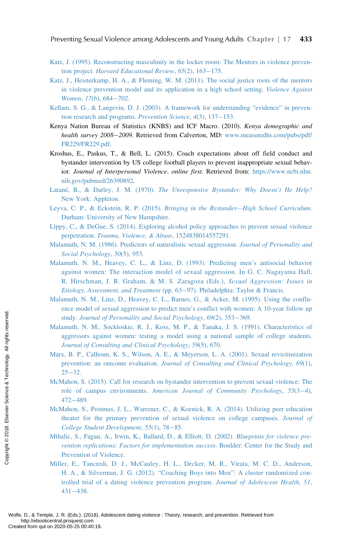- [Katz, J. \(1995\). Reconstructing masculinity in the locker room: The Mentors in violence preven-](http://refhub.elsevier.com/B978-0-12-811797-2.00017-7/sbref54)tion project. [Harvard Educational Review](http://refhub.elsevier.com/B978-0-12-811797-2.00017-7/sbref54),  $65(2)$ ,  $163-175$ .
- [Katz, J., Heisterkamp, H. A., & Fleming, W. M. \(2011\). The social justice roots of the mentors](http://refhub.elsevier.com/B978-0-12-811797-2.00017-7/sbref55) [in violence prevention model and its application in a high school setting.](http://refhub.elsevier.com/B978-0-12-811797-2.00017-7/sbref55) Violence Against Women, 17[\(6\), 684](http://refhub.elsevier.com/B978-0-12-811797-2.00017-7/sbref55)-[702.](http://refhub.elsevier.com/B978-0-12-811797-2.00017-7/sbref55)
- [Kellam, S. G., & Langevin, D. J. \(2003\). A framework for understanding "evidence" in preven](http://refhub.elsevier.com/B978-0-12-811797-2.00017-7/sbref56)[tion research and programs.](http://refhub.elsevier.com/B978-0-12-811797-2.00017-7/sbref56) *Prevention Science*,  $4(3)$ ,  $137-153$ .
- Kenya Nation Bureau of Statistics (KNBS) and ICF Macro. (2010). Kenya demographic and health survey 2008-2009. Retrieved from Calverton, MD: [www.measuredhs.com/pubs/pdf/](http://www.measuredhs.com/pubs/pdf/FR229/FR229.pdf) [FR229/FR229.pdf.](http://www.measuredhs.com/pubs/pdf/FR229/FR229.pdf)
- Kroshus, E., Paskus, T., & Bell, L. (2015). Coach expectations about off field conduct and bystander intervention by US college football players to prevent inappropriate sexual behavior. Journal of Interpersonal Violence. online first. Retrieved from: [https://www.ncbi.nlm.](https://www.ncbi.nlm.nih.gov/pubmed/26390892) [nih.gov/pubmed/26390892.](https://www.ncbi.nlm.nih.gov/pubmed/26390892)
- Latané, B., & Darley, J. M. (1970). [The Unresponsive Bystander: Why Doesn't He Help?](http://refhub.elsevier.com/B978-0-12-811797-2.00017-7/sbref58) [New York: Appleton.](http://refhub.elsevier.com/B978-0-12-811797-2.00017-7/sbref58)
- Leyva, C. P., & Eckstein, R. P. (2015). [Bringing in the Bystander—High School Curriculum](http://refhub.elsevier.com/B978-0-12-811797-2.00017-7/sbref59). [Durham: University of New Hampshire.](http://refhub.elsevier.com/B978-0-12-811797-2.00017-7/sbref59)
- [Lippy, C., & DeGue, S. \(2014\). Exploring alcohol policy approaches to prevent sexual violence](http://refhub.elsevier.com/B978-0-12-811797-2.00017-7/sbref60) perpetration. [Trauma, Violence, & Abuse](http://refhub.elsevier.com/B978-0-12-811797-2.00017-7/sbref60), 1524838014557291.
- [Malamuth, N. M. \(1986\). Predictors of naturalistic sexual aggression.](http://refhub.elsevier.com/B978-0-12-811797-2.00017-7/sbref61) Journal of Personality and [Social Psychology](http://refhub.elsevier.com/B978-0-12-811797-2.00017-7/sbref61), 50(5), 953.
- [Malamuth, N. M., Heavey, C. L., & Linz, D. \(1993\). Predicting men's antisocial behavior](http://refhub.elsevier.com/B978-0-12-811797-2.00017-7/sbref62) [against women: The interaction model of sexual aggression. In G. C. Nagayama Hall,](http://refhub.elsevier.com/B978-0-12-811797-2.00017-7/sbref62) [R. Hirschman, J. R. Graham, & M. S. Zaragoza \(Eds.\),](http://refhub.elsevier.com/B978-0-12-811797-2.00017-7/sbref62) Sexual Aggression: Issues in [Etiology, Assessment, and Treatment](http://refhub.elsevier.com/B978-0-12-811797-2.00017-7/sbref62) (pp. 63-[97\). Philadelphia: Taylor & Francis.](http://refhub.elsevier.com/B978-0-12-811797-2.00017-7/sbref62)
- [Malamuth, N. M., Linz, D., Heavey, C. L., Barnes, G., & Acker, M. \(1995\). Using the conflu](http://refhub.elsevier.com/B978-0-12-811797-2.00017-7/sbref63)[ence model of sexual aggression to predict men's conflict with women: A 10-year follow up](http://refhub.elsevier.com/B978-0-12-811797-2.00017-7/sbref63) study. [Journal of Personality and Social Psychology](http://refhub.elsevier.com/B978-0-12-811797-2.00017-7/sbref63), 69(2), 353-[369.](http://refhub.elsevier.com/B978-0-12-811797-2.00017-7/sbref63)
- [Malamuth, N. M., Sockloskie, R. J., Koss, M. P., & Tanaka, J. S. \(1991\). Characteristics of](http://refhub.elsevier.com/B978-0-12-811797-2.00017-7/sbref64) [aggressors against women: testing a model using a national sample of college students.](http://refhub.elsevier.com/B978-0-12-811797-2.00017-7/sbref64) [Journal of Consulting and Clinical Psychology](http://refhub.elsevier.com/B978-0-12-811797-2.00017-7/sbref64), 59(5), 670.
- [Marx, B. P., Calhoun, K. S., Wilson, A. E., & Meyerson, L. A. \(2001\). Sexual revictimization](http://refhub.elsevier.com/B978-0-12-811797-2.00017-7/sbref65) prevention: an outcome evaluation. [Journal of Consulting and Clinical Psychology](http://refhub.elsevier.com/B978-0-12-811797-2.00017-7/sbref65), 69(1),  $25 - 32$  $25 - 32$ .
- [McMahon, S. \(2015\). Call for research on bystander intervention to prevent sexual violence: The](http://refhub.elsevier.com/B978-0-12-811797-2.00017-7/sbref66) role of campus environments. [American Journal of Community Psychology](http://refhub.elsevier.com/B978-0-12-811797-2.00017-7/sbref66), 55(3-[4\),](http://refhub.elsevier.com/B978-0-12-811797-2.00017-7/sbref66) [472](http://refhub.elsevier.com/B978-0-12-811797-2.00017-7/sbref66)-[489.](http://refhub.elsevier.com/B978-0-12-811797-2.00017-7/sbref66)
- [McMahon, S., Postmus, J. L., Warrener, C., & Koenick, R. A. \(2014\). Utilizing peer education](http://refhub.elsevier.com/B978-0-12-811797-2.00017-7/sbref67) [theater for the primary prevention of sexual violence on college campuses.](http://refhub.elsevier.com/B978-0-12-811797-2.00017-7/sbref67) Journal of [College Student Development](http://refhub.elsevier.com/B978-0-12-811797-2.00017-7/sbref67), 55(1), 78-[85.](http://refhub.elsevier.com/B978-0-12-811797-2.00017-7/sbref67)
- [Mihalic, S., Fagan, A., Irwin, K., Ballard, D., & Elliott, D. \(2002\).](http://refhub.elsevier.com/B978-0-12-811797-2.00017-7/sbref68) Blueprints for violence pre[vention replications: Factors for implementation success](http://refhub.elsevier.com/B978-0-12-811797-2.00017-7/sbref68). Boulder: Center for the Study and [Prevention of Violence.](http://refhub.elsevier.com/B978-0-12-811797-2.00017-7/sbref68)
- [Miller, E., Tancredi, D. J., McCauley, H. L., Decker, M. R., Virata, M. C. D., Anderson,](http://refhub.elsevier.com/B978-0-12-811797-2.00017-7/sbref69) [H. A., & Silverman, J. G. \(2012\). "Coaching Boys into Men": A cluster randomized con](http://refhub.elsevier.com/B978-0-12-811797-2.00017-7/sbref69)[trolled trial of a dating violence prevention program.](http://refhub.elsevier.com/B978-0-12-811797-2.00017-7/sbref69) Journal of Adolescent Health, 51, [431](http://refhub.elsevier.com/B978-0-12-811797-2.00017-7/sbref69)-[438.](http://refhub.elsevier.com/B978-0-12-811797-2.00017-7/sbref69) Created from experimental control of Created from qut on 2020-05-25 00:40:19.<br>
Created from a control of Control of Control of Control of Control of Control of Control of Control of Control of Technology. McMahon, S. (201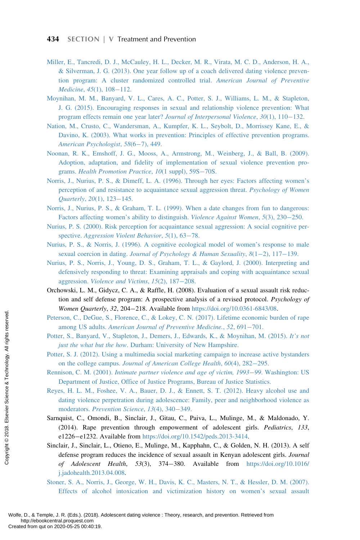- [Miller, E., Tancredi, D. J., McCauley, H. L., Decker, M. R., Virata, M. C. D., Anderson, H. A.,](http://refhub.elsevier.com/B978-0-12-811797-2.00017-7/sbref70) [& Silverman, J. G. \(2013\). One year follow up of a coach delivered dating violence preven](http://refhub.elsevier.com/B978-0-12-811797-2.00017-7/sbref70)[tion program: A cluster randomized controlled trial.](http://refhub.elsevier.com/B978-0-12-811797-2.00017-7/sbref70) American Journal of Preventive [Medicine](http://refhub.elsevier.com/B978-0-12-811797-2.00017-7/sbref70),  $45(1)$ ,  $108-112$ .
- [Moynihan, M. M., Banyard, V. L., Cares, A. C., Potter, S. J., Williams, L. M., & Stapleton,](http://refhub.elsevier.com/B978-0-12-811797-2.00017-7/sbref71) [J. G. \(2015\). Encouraging responses in sexual and relationship violence prevention: What](http://refhub.elsevier.com/B978-0-12-811797-2.00017-7/sbref71) [program effects remain one year later?](http://refhub.elsevier.com/B978-0-12-811797-2.00017-7/sbref71) Journal of Interpersonal Violence, 30(1), 110–[132.](http://refhub.elsevier.com/B978-0-12-811797-2.00017-7/sbref71)
- [Nation, M., Crusto, C., Wandersman, A., Kumpfer, K. L., Seybolt, D., Morrissey Kane, E., &](http://refhub.elsevier.com/B978-0-12-811797-2.00017-7/sbref73) [Davino, K. \(2003\). What works in prevention: Principles of effective prevention programs.](http://refhub.elsevier.com/B978-0-12-811797-2.00017-7/sbref73) [American Psychologist](http://refhub.elsevier.com/B978-0-12-811797-2.00017-7/sbref73), 58(6-[7\), 449.](http://refhub.elsevier.com/B978-0-12-811797-2.00017-7/sbref73)
- [Noonan, R. K., Emshoff, J. G., Mooss, A., Armstrong, M., Weinberg, J., & Ball, B. \(2009\).](http://refhub.elsevier.com/B978-0-12-811797-2.00017-7/sbref74) [Adoption, adaptation, and fidelity of implementation of sexual violence prevention pro-](http://refhub.elsevier.com/B978-0-12-811797-2.00017-7/sbref74)grams. [Health Promotion Practice](http://refhub.elsevier.com/B978-0-12-811797-2.00017-7/sbref74), 10(1 suppl), 59S-[70S.](http://refhub.elsevier.com/B978-0-12-811797-2.00017-7/sbref74)
- [Norris, J., Nurius, P. S., & Dimeff, L. A. \(1996\). Through her eyes: Factors affecting women's](http://refhub.elsevier.com/B978-0-12-811797-2.00017-7/sbref75) [perception of and resistance to acquaintance sexual aggression threat.](http://refhub.elsevier.com/B978-0-12-811797-2.00017-7/sbref75) Psychology of Women  $Quarterly, 20(1), 123-145.$  $Quarterly, 20(1), 123-145.$  $Quarterly, 20(1), 123-145.$
- [Norris, J., Nurius, P. S., & Graham, T. L. \(1999\). When a date changes from fun to dangerous:](http://refhub.elsevier.com/B978-0-12-811797-2.00017-7/sbref76) [Factors affecting women's ability to distinguish.](http://refhub.elsevier.com/B978-0-12-811797-2.00017-7/sbref76) Violence Against Women, 5(3), 230–[250.](http://refhub.elsevier.com/B978-0-12-811797-2.00017-7/sbref76)
- [Nurius, P. S. \(2000\). Risk perception for acquaintance sexual aggression: A social cognitive per-](http://refhub.elsevier.com/B978-0-12-811797-2.00017-7/sbref77)spective. [Aggression Violent Behavior](http://refhub.elsevier.com/B978-0-12-811797-2.00017-7/sbref77),  $5(1)$ ,  $63-78$ .
- [Nurius, P. S., & Norris, J. \(1996\). A cognitive ecological model of women's response to male](http://refhub.elsevier.com/B978-0-12-811797-2.00017-7/sbref78) sexual coercion in dating. [Journal of Psychology & Human Sexuality](http://refhub.elsevier.com/B978-0-12-811797-2.00017-7/sbref78),  $8(1-2)$ ,  $117-139$ .
- [Nurius, P. S., Norris, J., Young, D. S., Graham, T. L., & Gaylord, J. \(2000\). Interpreting and](http://refhub.elsevier.com/B978-0-12-811797-2.00017-7/sbref79) [defensively responding to threat: Examining appraisals and coping with acquaintance sexual](http://refhub.elsevier.com/B978-0-12-811797-2.00017-7/sbref79) aggression. *[Violence and Victims](http://refhub.elsevier.com/B978-0-12-811797-2.00017-7/sbref79)*,  $15(2)$ ,  $187-208$ .
- Orchowski, L. M., Gidycz, C. A., & Raffle, H. (2008). Evaluation of a sexual assault risk reduction and self defense program: A prospective analysis of a revised protocol. Psychology of Women Quarterly, 32, 204-218. Available from <https://doi.org/10.0361-6843/08>.
- [Peterson, C., DeGue, S., Florence, C., & Lokey, C. N. \(2017\). Lifetime economic burden of rape](http://refhub.elsevier.com/B978-0-12-811797-2.00017-7/sbref82) among US adults. [American Journal of Preventive Medicine.](http://refhub.elsevier.com/B978-0-12-811797-2.00017-7/sbref82), 52, 691-[701.](http://refhub.elsevier.com/B978-0-12-811797-2.00017-7/sbref82)
- [Potter, S., Banyard, V., Stapleton, J., Demers, J., Edwards, K., & Moynihan, M. \(2015\).](http://refhub.elsevier.com/B978-0-12-811797-2.00017-7/sbref83) It's not just the what but the how[. Durham: University of New Hampshire.](http://refhub.elsevier.com/B978-0-12-811797-2.00017-7/sbref83)
- [Potter, S. J. \(2012\). Using a multimedia social marketing campaign to increase active bystanders](http://refhub.elsevier.com/B978-0-12-811797-2.00017-7/sbref84) on the college campus. [Journal of American College Health](http://refhub.elsevier.com/B978-0-12-811797-2.00017-7/sbref84),  $60(4)$ ,  $282-295$ .
- Rennison, C. M. (2001). [Intimate partner violence and age of victim, 1993](http://refhub.elsevier.com/B978-0-12-811797-2.00017-7/sbref85)–99[. Washington: US](http://refhub.elsevier.com/B978-0-12-811797-2.00017-7/sbref85) [Department of Justice, Office of Justice Programs, Bureau of Justice Statistics.](http://refhub.elsevier.com/B978-0-12-811797-2.00017-7/sbref85)
- [Reyes, H. L. M., Foshee, V. A., Bauer, D. J., & Ennett, S. T. \(2012\). Heavy alcohol use and](http://refhub.elsevier.com/B978-0-12-811797-2.00017-7/sbref86) [dating violence perpetration during adolescence: Family, peer and neighborhood violence as](http://refhub.elsevier.com/B978-0-12-811797-2.00017-7/sbref86) moderators. [Prevention Science](http://refhub.elsevier.com/B978-0-12-811797-2.00017-7/sbref86), 13(4), 340-[349.](http://refhub.elsevier.com/B978-0-12-811797-2.00017-7/sbref86)
- Sarnquist, C., Omondi, B., Sinclair, J., Gitau, C., Paiva, L., Mulinge, M., & Maldonado, Y. (2014). Rape prevention through empowerment of adolescent girls. Pediatrics, 133, e1226-e1232. Available from <https://doi.org/10.1542/peds.2013-3414>.
- Sinclair, J., Sinclair, L., Otieno, E., Mulinge, M., Kapphahn, C., & Golden, N. H. (2013). A self defense program reduces the incidence of sexual assault in Kenyan adolescent girls. Journal of Adolescent Health, 53(3), 374–380. Available from [https://doi.org/10.1016/](https://doi.org/10.1016/j.jadohealth.2013.04.008) [j.jadohealth.2013.04.008](https://doi.org/10.1016/j.jadohealth.2013.04.008). From Created from and CREAT CREAT CREAT CREAT CREAT CREAT CREAT CREAT CREAT CREAT CREAT CREAT CREAT CREAT CREAT CREAT CREAT CREAT CREAT CREAT CREAT CREAT CREAT CREAT CREAT CREAT CREAT CREAT CREAT CREAT CREAT CREAT CREAT C
	- [Stoner, S. A., Norris, J., George, W. H., Davis, K. C., Masters, N. T., & Hessler, D. M. \(2007\).](http://refhub.elsevier.com/B978-0-12-811797-2.00017-7/sbref89) [Effects of alcohol intoxication and victimization history on women's sexual assault](http://refhub.elsevier.com/B978-0-12-811797-2.00017-7/sbref89)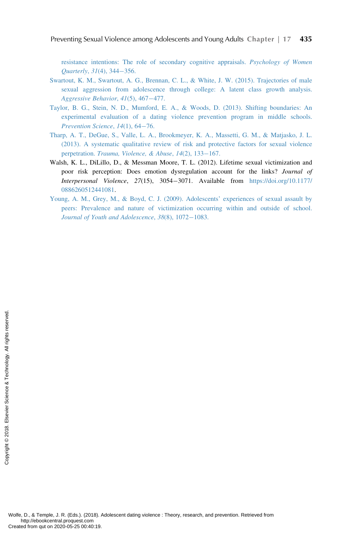[resistance intentions: The role of secondary cognitive appraisals.](http://refhub.elsevier.com/B978-0-12-811797-2.00017-7/sbref89) Psychology of Women  $Quarterly, 31(4), 344-356.$  $Quarterly, 31(4), 344-356.$  $Quarterly, 31(4), 344-356.$ 

- [Swartout, K. M., Swartout, A. G., Brennan, C. L., & White, J. W. \(2015\). Trajectories of male](http://refhub.elsevier.com/B978-0-12-811797-2.00017-7/sbref90) [sexual aggression from adolescence through college: A latent class growth analysis.](http://refhub.elsevier.com/B978-0-12-811797-2.00017-7/sbref90) [Aggressive Behavior](http://refhub.elsevier.com/B978-0-12-811797-2.00017-7/sbref90),  $41(5)$ ,  $467-477$ .
- [Taylor, B. G., Stein, N. D., Mumford, E. A., & Woods, D. \(2013\). Shifting boundaries: An](http://refhub.elsevier.com/B978-0-12-811797-2.00017-7/sbref91) [experimental evaluation of a dating violence prevention program in middle schools.](http://refhub.elsevier.com/B978-0-12-811797-2.00017-7/sbref91) [Prevention Science](http://refhub.elsevier.com/B978-0-12-811797-2.00017-7/sbref91), 14(1), 64-[76.](http://refhub.elsevier.com/B978-0-12-811797-2.00017-7/sbref91)
- [Tharp, A. T., DeGue, S., Valle, L. A., Brookmeyer, K. A., Massetti, G. M., & Matjasko, J. L.](http://refhub.elsevier.com/B978-0-12-811797-2.00017-7/sbref92) [\(2013\). A systematic qualitative review of risk and protective factors for sexual violence](http://refhub.elsevier.com/B978-0-12-811797-2.00017-7/sbref92) perpetration. [Trauma, Violence, & Abuse](http://refhub.elsevier.com/B978-0-12-811797-2.00017-7/sbref92), 14(2), 133-[167.](http://refhub.elsevier.com/B978-0-12-811797-2.00017-7/sbref92)
- Walsh, K. L., DiLillo, D., & Messman Moore, T. L. (2012). Lifetime sexual victimization and poor risk perception: Does emotion dysregulation account for the links? Journal of Interpersonal Violence, 27(15), 3054-3071. Available from [https://doi.org/10.1177/](https://doi.org/10.1177/0886260512441081) [0886260512441081](https://doi.org/10.1177/0886260512441081).
- [Young, A. M., Grey, M., & Boyd, C. J. \(2009\). Adolescents' experiences of sexual assault by](http://refhub.elsevier.com/B978-0-12-811797-2.00017-7/sbref94) [peers: Prevalence and nature of victimization occurring within and outside of school.](http://refhub.elsevier.com/B978-0-12-811797-2.00017-7/sbref94) [Journal of Youth and Adolescence](http://refhub.elsevier.com/B978-0-12-811797-2.00017-7/sbref94), 38(8), 1072-[1083.](http://refhub.elsevier.com/B978-0-12-811797-2.00017-7/sbref94)